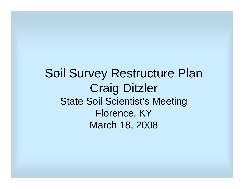Soil Survey Restructure Plan Craig Ditzler State Soil Scientist's Meeting Florence, KY March 18, 2008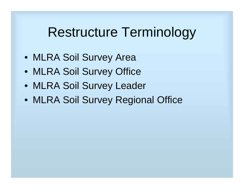## Restructure Terminology

- MLRA Soil Survey Area
- MLRA Soil Survey Office
- MLRA Soil Survey Leader
- MLRA Soil Survey Regional Office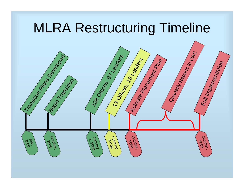## MLRA Restructuring Timeline

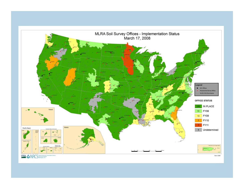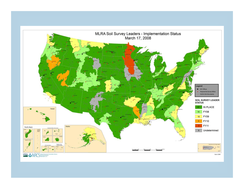

USDA ONRCS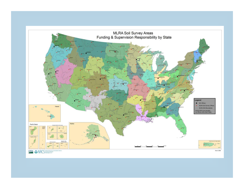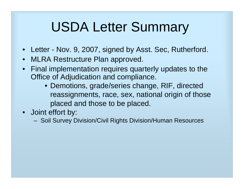# USDA Letter Summary

- •Letter - Nov. 9, 2007, signed by Asst. Sec, Rutherford.
- •MLRA Restructure Plan approved.
- • Final implementation requires quarterly updates to the Office of Adjudication and compliance.
	- Demotions, grade/series change, RIF, directed reassignments, race, sex, national origin of those placed and those to be placed.
- Joint effort by:
	- Soil Survey Division/Civil Rights Division/Human Resources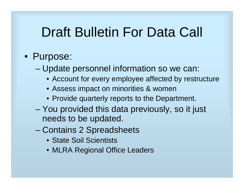# Draft Bulletin For Data Call

#### • Purpose:

- – Update personnel information so we can:
	- Account for every employee affected by restructure
	- Assess impact on minorities & women
	- Provide quarterly reports to the Department.
- You provided this data previously, so it just needs to be updated.
- Contains 2 Spreadsheets
	- State Soil Scientists
	- MLRA Regional Office Leaders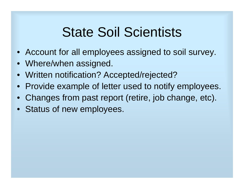# State Soil Scientists

- Account for all employees assigned to soil survey.
- Where/when assigned.
- Written notification? Accepted/rejected?
- Provide example of letter used to notify employees.
- Changes from past report (retire, job change, etc).
- Status of new employees.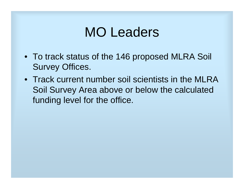#### MO Leaders

- To track status of the 146 proposed MLRA Soil Survey Offices.
- Track current number soil scientists in the MLRA Soil Survey Area above or below the calculated funding level for the office.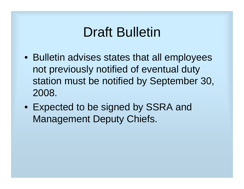## Draft Bulletin

- Bulletin advises states that all employees not previously notified of eventual duty station must be notified by September 30, 2008.
- Expected to be signed by SSRA and Management Deputy Chiefs.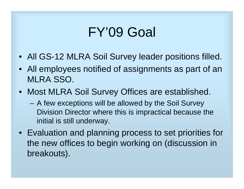## FY'09 Goal

- All GS-12 MLRA Soil Survey leader positions filled.
- All employees notified of assignments as part of an MLRA SSO.
- Most MLRA Soil Survey Offices are established.
	- A few exceptions will be allowed by the Soil Survey Division Director where this is impractical because the initial is still underway.
- Evaluation and planning process to set priorities for the new offices to begin working on (discussion in breakouts).